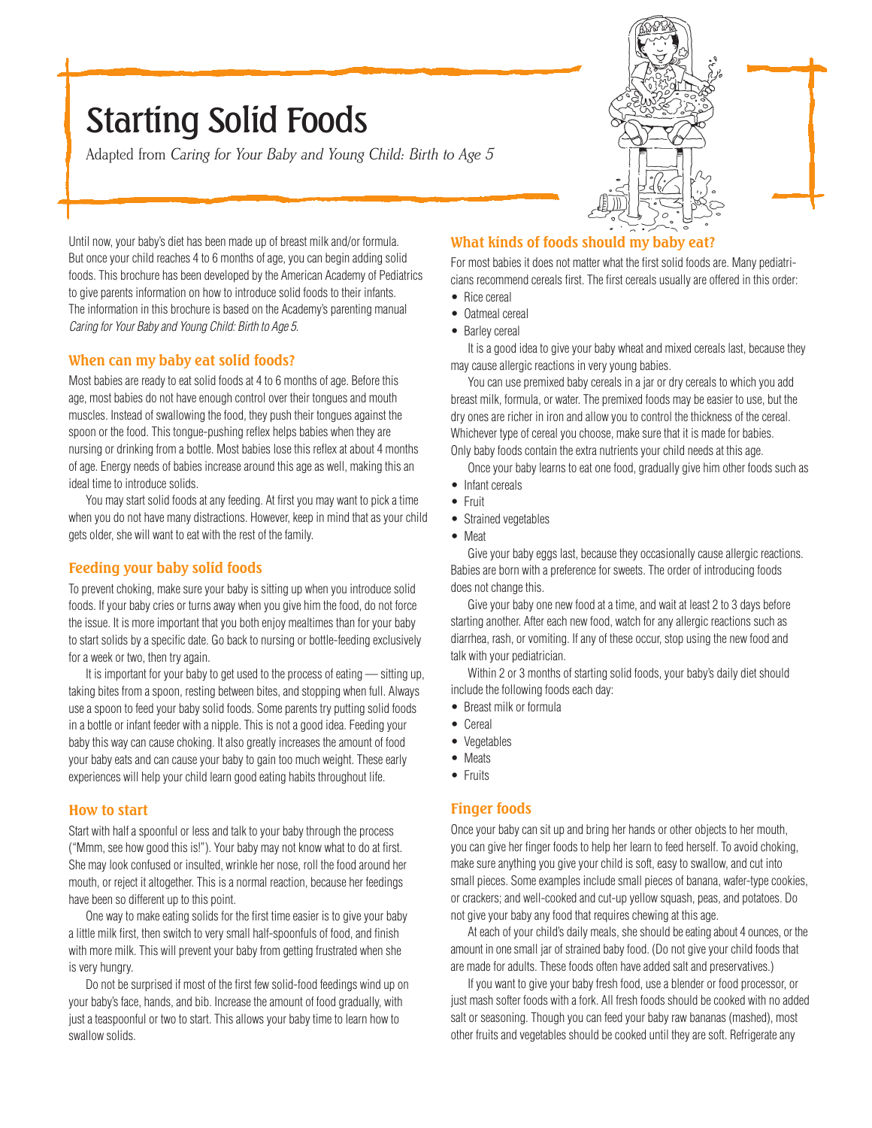# Starting Solid Foods

Adapted from *Caring for Your Baby and Young Child: Birth to Age 5*



Until now, your baby's diet has been made up of breast milk and/or formula. But once your child reaches 4 to 6 months of age, you can begin adding solid foods. This brochure has been developed by the American Academy of Pediatrics to give parents information on how to introduce solid foods to their infants. The information in this brochure is based on the Academy's parenting manual *Caring for Your Baby and Young Child: Birth to Age 5.*

## **When can my baby eat solid foods?**

Most babies are ready to eat solid foods at 4 to 6 months of age. Before this age, most babies do not have enough control over their tongues and mouth muscles. Instead of swallowing the food, they push their tongues against the spoon or the food. This tongue-pushing reflex helps babies when they are nursing or drinking from a bottle. Most babies lose this reflex at about 4 months of age. Energy needs of babies increase around this age as well, making this an ideal time to introduce solids.

You may start solid foods at any feeding. At first you may want to pick a time when you do not have many distractions. However, keep in mind that as your child gets older, she will want to eat with the rest of the family.

## **Feeding your baby solid foods**

To prevent choking, make sure your baby is sitting up when you introduce solid foods. If your baby cries or turns away when you give him the food, do not force the issue. It is more important that you both enjoy mealtimes than for your baby to start solids by a specific date. Go back to nursing or bottle-feeding exclusively for a week or two, then try again.

It is important for your baby to get used to the process of eating — sitting up, taking bites from a spoon, resting between bites, and stopping when full. Always use a spoon to feed your baby solid foods. Some parents try putting solid foods in a bottle or infant feeder with a nipple. This is not a good idea. Feeding your baby this way can cause choking. It also greatly increases the amount of food your baby eats and can cause your baby to gain too much weight. These early experiences will help your child learn good eating habits throughout life.

## **How to start**

Start with half a spoonful or less and talk to your baby through the process ("Mmm, see how good this is!"). Your baby may not know what to do at first. She may look confused or insulted, wrinkle her nose, roll the food around her mouth, or reject it altogether. This is a normal reaction, because her feedings have been so different up to this point.

One way to make eating solids for the first time easier is to give your baby a little milk first, then switch to very small half-spoonfuls of food, and finish with more milk. This will prevent your baby from getting frustrated when she is very hungry.

Do not be surprised if most of the first few solid-food feedings wind up on your baby's face, hands, and bib. Increase the amount of food gradually, with just a teaspoonful or two to start. This allows your baby time to learn how to swallow solids.

# **What kinds of foods should my baby eat?**

For most babies it does not matter what the first solid foods are. Many pediatricians recommend cereals first. The first cereals usually are offered in this order: • Rice cereal

- Oatmeal cereal
- Barley cereal

It is a good idea to give your baby wheat and mixed cereals last, because they may cause allergic reactions in very young babies.

You can use premixed baby cereals in a jar or dry cereals to which you add breast milk, formula, or water. The premixed foods may be easier to use, but the dry ones are richer in iron and allow you to control the thickness of the cereal. Whichever type of cereal you choose, make sure that it is made for babies. Only baby foods contain the extra nutrients your child needs at this age.

Once your baby learns to eat one food, gradually give him other foods such as • Infant cereals

- Fruit
- Strained vegetables
- Meat

Give your baby eggs last, because they occasionally cause allergic reactions. Babies are born with a preference for sweets. The order of introducing foods does not change this.

Give your baby one new food at a time, and wait at least 2 to 3 days before starting another. After each new food, watch for any allergic reactions such as diarrhea, rash, or vomiting. If any of these occur, stop using the new food and talk with your pediatrician.

Within 2 or 3 months of starting solid foods, your baby's daily diet should include the following foods each day:

- Breast milk or formula
- Cereal
- Vegetables
- Meats
- Fruits

## **Finger foods**

Once your baby can sit up and bring her hands or other objects to her mouth, you can give her finger foods to help her learn to feed herself. To avoid choking, make sure anything you give your child is soft, easy to swallow, and cut into small pieces. Some examples include small pieces of banana, wafer-type cookies, or crackers; and well-cooked and cut-up yellow squash, peas, and potatoes. Do not give your baby any food that requires chewing at this age.

At each of your child's daily meals, she should be eating about 4 ounces, or the amount in one small jar of strained baby food. (Do not give your child foods that are made for adults. These foods often have added salt and preservatives.)

If you want to give your baby fresh food, use a blender or food processor, or just mash softer foods with a fork. All fresh foods should be cooked with no added salt or seasoning. Though you can feed your baby raw bananas (mashed), most other fruits and vegetables should be cooked until they are soft. Refrigerate any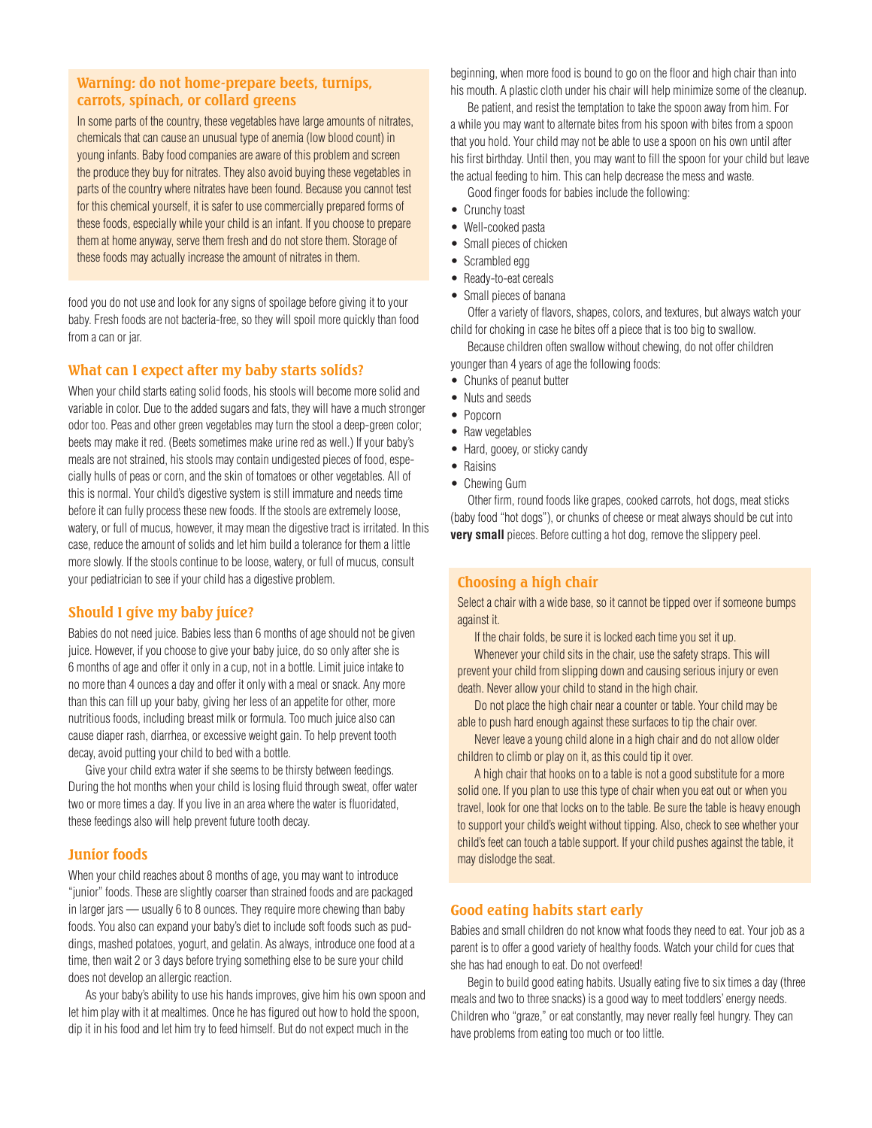### **Warning: do not home-prepare beets, turnips, carrots, spinach, or collard greens**

In some parts of the country, these vegetables have large amounts of nitrates, chemicals that can cause an unusual type of anemia (low blood count) in young infants. Baby food companies are aware of this problem and screen the produce they buy for nitrates. They also avoid buying these vegetables in parts of the country where nitrates have been found. Because you cannot test for this chemical yourself, it is safer to use commercially prepared forms of these foods, especially while your child is an infant. If you choose to prepare them at home anyway, serve them fresh and do not store them. Storage of these foods may actually increase the amount of nitrates in them.

food you do not use and look for any signs of spoilage before giving it to your baby. Fresh foods are not bacteria-free, so they will spoil more quickly than food from a can or jar.

#### **What can I expect after my baby starts solids?**

When your child starts eating solid foods, his stools will become more solid and variable in color. Due to the added sugars and fats, they will have a much stronger odor too. Peas and other green vegetables may turn the stool a deep-green color; beets may make it red. (Beets sometimes make urine red as well.) If your baby's meals are not strained, his stools may contain undigested pieces of food, especially hulls of peas or corn, and the skin of tomatoes or other vegetables. All of this is normal. Your child's digestive system is still immature and needs time before it can fully process these new foods. If the stools are extremely loose, watery, or full of mucus, however, it may mean the digestive tract is irritated. In this case, reduce the amount of solids and let him build a tolerance for them a little more slowly. If the stools continue to be loose, watery, or full of mucus, consult your pediatrician to see if your child has a digestive problem.

#### **Should I give my baby juice?**

Babies do not need juice. Babies less than 6 months of age should not be given juice. However, if you choose to give your baby juice, do so only after she is 6 months of age and offer it only in a cup, not in a bottle. Limit juice intake to no more than 4 ounces a day and offer it only with a meal or snack. Any more than this can fill up your baby, giving her less of an appetite for other, more nutritious foods, including breast milk or formula. Too much juice also can cause diaper rash, diarrhea, or excessive weight gain. To help prevent tooth decay, avoid putting your child to bed with a bottle.

Give your child extra water if she seems to be thirsty between feedings. During the hot months when your child is losing fluid through sweat, offer water two or more times a day. If you live in an area where the water is fluoridated, these feedings also will help prevent future tooth decay.

#### **Junior foods**

When your child reaches about 8 months of age, you may want to introduce "junior" foods. These are slightly coarser than strained foods and are packaged in larger jars — usually 6 to 8 ounces. They require more chewing than baby foods. You also can expand your baby's diet to include soft foods such as puddings, mashed potatoes, yogurt, and gelatin. As always, introduce one food at a time, then wait 2 or 3 days before trying something else to be sure your child does not develop an allergic reaction.

As your baby's ability to use his hands improves, give him his own spoon and let him play with it at mealtimes. Once he has figured out how to hold the spoon, dip it in his food and let him try to feed himself. But do not expect much in the

beginning, when more food is bound to go on the floor and high chair than into his mouth. A plastic cloth under his chair will help minimize some of the cleanup.

Be patient, and resist the temptation to take the spoon away from him. For a while you may want to alternate bites from his spoon with bites from a spoon that you hold. Your child may not be able to use a spoon on his own until after his first birthday. Until then, you may want to fill the spoon for your child but leave the actual feeding to him. This can help decrease the mess and waste.

Good finger foods for babies include the following:

- Crunchy toast
- Well-cooked pasta
- Small pieces of chicken
- Scrambled egg
- Ready-to-eat cereals
- Small pieces of banana

Offer a variety of flavors, shapes, colors, and textures, but always watch your child for choking in case he bites off a piece that is too big to swallow.

Because children often swallow without chewing, do not offer children younger than 4 years of age the following foods:

- Chunks of peanut butter
- Nuts and seeds
- Popcorn
- Raw vegetables
- Hard, gooey, or sticky candy
- Raisins
- Chewing Gum

Other firm, round foods like grapes, cooked carrots, hot dogs, meat sticks (baby food "hot dogs"), or chunks of cheese or meat always should be cut into **very small** pieces. Before cutting a hot dog, remove the slippery peel.

#### **Choosing a high chair**

Select a chair with a wide base, so it cannot be tipped over if someone bumps against it.

If the chair folds, be sure it is locked each time you set it up.

Whenever your child sits in the chair, use the safety straps. This will prevent your child from slipping down and causing serious injury or even death. Never allow your child to stand in the high chair.

Do not place the high chair near a counter or table. Your child may be able to push hard enough against these surfaces to tip the chair over.

Never leave a young child alone in a high chair and do not allow older children to climb or play on it, as this could tip it over.

A high chair that hooks on to a table is not a good substitute for a more solid one. If you plan to use this type of chair when you eat out or when you travel, look for one that locks on to the table. Be sure the table is heavy enough to support your child's weight without tipping. Also, check to see whether your child's feet can touch a table support. If your child pushes against the table, it may dislodge the seat.

#### **Good eating habits start early**

Babies and small children do not know what foods they need to eat. Your job as a parent is to offer a good variety of healthy foods. Watch your child for cues that she has had enough to eat. Do not overfeed!

Begin to build good eating habits. Usually eating five to six times a day (three meals and two to three snacks) is a good way to meet toddlers' energy needs. Children who "graze," or eat constantly, may never really feel hungry. They can have problems from eating too much or too little.